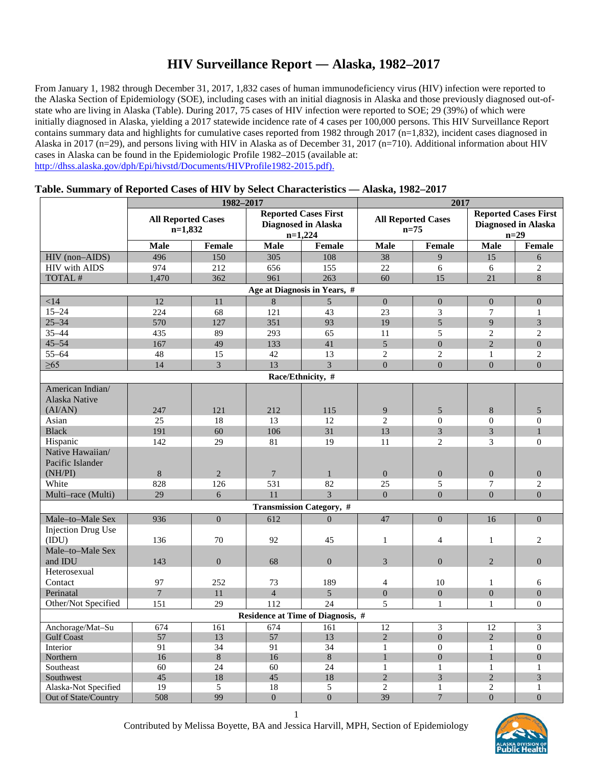# **HIV Surveillance Report ― Alaska, 1982–2017**

From January 1, 1982 through December 31, 2017, 1,832 cases of human immunodeficiency virus (HIV) infection were reported to the Alaska Section of Epidemiology (SOE), including cases with an initial diagnosis in Alaska and those previously diagnosed out-ofstate who are living in Alaska (Table). During 2017, 75 cases of HIV infection were reported to SOE; 29 (39%) of which were initially diagnosed in Alaska, yielding a 2017 statewide incidence rate of 4 cases per 100,000 persons. This HIV Surveillance Report contains summary data and highlights for cumulative cases reported from 1982 through  $2017$  (n=1,832), incident cases diagnosed in Alaska in 2017 (n=29), and persons living with HIV in Alaska as of December 31, 2017 (n=710). Additional information about HIV cases in Alaska can be found in the Epidemiologic Profile 1982–2015 (available at: [http://dhss.alaska.gov/dph/Epi/hivstd/Documents/HIVProfile1982-2015.pdf\)](http://dhss.alaska.gov/dph/Epi/hivstd/Documents/HIVProfile1982-2015.pdf).

|                                      | 1982-2017                              |                |                                                                        |                                   | 2017                                  |                 |                                                                     |                |
|--------------------------------------|----------------------------------------|----------------|------------------------------------------------------------------------|-----------------------------------|---------------------------------------|-----------------|---------------------------------------------------------------------|----------------|
|                                      | <b>All Reported Cases</b><br>$n=1,832$ |                | <b>Reported Cases First</b><br><b>Diagnosed in Alaska</b><br>$n=1,224$ |                                   | <b>All Reported Cases</b><br>$n = 75$ |                 | <b>Reported Cases First</b><br><b>Diagnosed in Alaska</b><br>$n=29$ |                |
|                                      | <b>Male</b>                            | Female         | <b>Male</b>                                                            | Female                            | Male                                  | Female          | <b>Male</b>                                                         | Female         |
| HIV (non-AIDS)                       | 496                                    | 150            | 305                                                                    | 108                               | 38                                    | 9               | 15                                                                  | 6              |
| <b>HIV</b> with AIDS                 | 974                                    | 212            | 656                                                                    | 155                               | 22                                    | 6               | 6                                                                   | $\overline{2}$ |
| TOTAL #                              | 1,470                                  | 362            | 961                                                                    | 263                               | 60                                    | 15              | 21                                                                  | 8              |
| Age at Diagnosis in Years, #         |                                        |                |                                                                        |                                   |                                       |                 |                                                                     |                |
| < 14                                 | 12                                     | 11             | $\overline{8}$                                                         | 5                                 | $\overline{0}$                        | $\Omega$        | $\overline{0}$                                                      | $\Omega$       |
| $15 - 24$                            | 224                                    | 68             | 121                                                                    | 43                                | 23                                    | 3               | $\overline{7}$                                                      | $\mathbf{1}$   |
| $25 - 34$                            | 570                                    | 127            | 351                                                                    | 93                                | 19                                    | $\overline{5}$  | 9                                                                   | 3              |
| 35-44                                | 435                                    | 89             | 293                                                                    | 65                                | 11                                    | 5               | 2                                                                   | 2              |
| $45 - 54$                            | 167                                    | 49             | 133                                                                    | 41                                | 5                                     | $\Omega$        | $\overline{2}$                                                      | $\Omega$       |
| $55 - 64$                            | 48                                     | 15             | 42                                                                     | 13                                | $\overline{2}$                        | $\overline{2}$  | $\mathbf{1}$                                                        | $\overline{c}$ |
| $\geq 65$                            | 14                                     | 3              | 13                                                                     | $\overline{3}$                    | $\Omega$                              | $\Omega$        | $\overline{0}$                                                      | $\Omega$       |
| Race/Ethnicity, #                    |                                        |                |                                                                        |                                   |                                       |                 |                                                                     |                |
| American Indian/<br>Alaska Native    |                                        |                |                                                                        |                                   |                                       |                 |                                                                     |                |
| (AI/AN)                              | 247                                    | 121            | 212                                                                    | 115                               | $\overline{9}$                        | $\sqrt{5}$      | $\,8\,$                                                             | 5              |
| Asian                                | 25                                     | 18             | 13                                                                     | 12                                | $\overline{2}$                        | $\mathbf{0}$    | $\theta$                                                            | $\mathbf{0}$   |
| <b>Black</b>                         | 191                                    | 60             | 106                                                                    | 31                                | 13                                    | $\mathfrak{Z}$  | 3                                                                   | $\mathbf{1}$   |
| Hispanic                             | 142                                    | 29             | 81                                                                     | 19                                | 11                                    | $\overline{c}$  | 3                                                                   | $\Omega$       |
| Native Hawaiian/<br>Pacific Islander |                                        |                |                                                                        |                                   |                                       |                 |                                                                     |                |
| (NH/PI)                              | 8                                      | $\overline{2}$ | $\overline{7}$                                                         | $\mathbf{1}$                      | $\Omega$                              | $\Omega$        | $\Omega$                                                            | $\Omega$       |
| White                                | 828                                    | 126            | 531                                                                    | 82                                | 25                                    | 5               | $7\phantom{.0}$                                                     | $\overline{c}$ |
| Multi-race (Multi)                   | 29                                     | 6              | 11                                                                     | $\overline{3}$                    | $\overline{0}$                        | $\overline{0}$  | $\overline{0}$                                                      | $\overline{0}$ |
| <b>Transmission Category, #</b>      |                                        |                |                                                                        |                                   |                                       |                 |                                                                     |                |
| Male-to-Male Sex                     | 936                                    | $\Omega$       | 612                                                                    | $\Omega$                          | 47                                    | $\Omega$        | 16                                                                  | $\Omega$       |
| <b>Injection Drug Use</b><br>(IDU)   | 136                                    | 70             | 92                                                                     | 45                                | $\mathbf{1}$                          | $\overline{4}$  | $\mathbf{1}$                                                        | $\overline{c}$ |
| Male-to-Male Sex<br>and IDU          | 143                                    | $\Omega$       | 68                                                                     | $\Omega$                          | 3                                     | $\Omega$        | $\overline{2}$                                                      | $\overline{0}$ |
| Heterosexual                         |                                        |                |                                                                        |                                   |                                       |                 |                                                                     |                |
| Contact                              | 97                                     | 252            | 73                                                                     | 189                               | $\overline{4}$                        | 10              | 1                                                                   | 6              |
| Perinatal                            | $\overline{7}$                         | 11             | $\overline{4}$                                                         | 5 <sup>5</sup>                    | $\boldsymbol{0}$                      | $\Omega$        | $\overline{0}$                                                      | $\theta$       |
| Other/Not Specified                  | 151                                    | 29             | 112                                                                    | 24                                | 5                                     | $\mathbf{1}$    | $\mathbf{1}$                                                        | $\Omega$       |
|                                      |                                        |                |                                                                        | Residence at Time of Diagnosis, # |                                       |                 |                                                                     |                |
| Anchorage/Mat-Su                     | 674                                    | 161            | 674                                                                    | 161                               | 12                                    | 3               | 12                                                                  | 3              |
| <b>Gulf Coast</b>                    | 57                                     | 13             | 57                                                                     | 13                                | $\overline{2}$                        | $\Omega$        | 2                                                                   | $\Omega$       |
| Interior                             | 91                                     | 34             | 91                                                                     | 34                                | $\mathbf{1}$                          | $\Omega$        | $\mathbf{1}$                                                        | $\Omega$       |
| Northern                             | 16                                     | 8              | 16                                                                     | 8                                 | $\mathbf{1}$                          | $\Omega$        | $\mathbf{1}$                                                        | $\Omega$       |
| Southeast                            | 60                                     | 24             | 60                                                                     | 24                                | $\mathbf{1}$                          | 1               | 1                                                                   | $\mathbf{1}$   |
| Southwest                            | 45                                     | 18             | 45                                                                     | 18                                | $\overline{2}$                        | 3               | $\overline{2}$                                                      | 3              |
| Alaska-Not Specified                 | 19                                     | 5              | 18                                                                     | 5                                 | $\overline{2}$                        | $\mathbf{1}$    | $\overline{2}$                                                      | 1              |
| Out of State/Country                 | 508                                    | 99             | $\overline{0}$                                                         | $\overline{0}$                    | 39                                    | $7\phantom{.0}$ | $\overline{0}$                                                      | $\overline{0}$ |

#### **Table. Summary of Reported Cases of HIV by Select Characteristics — Alaska, 1982–2017**

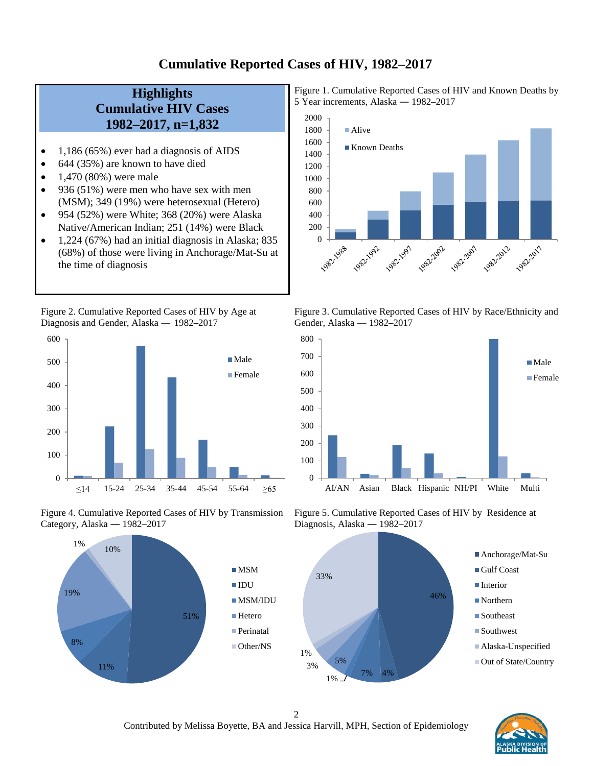### **Cumulative Reported Cases of HIV, 1982–2017**

# **Highlights Cumulative HIV Cases 1982–2017, n=1,832**

- 1,186 (65%) ever had a diagnosis of AIDS
- 644 (35%) are known to have died
- $1,470 (80%)$  were male
- 936 (51%) were men who have sex with men (MSM); 349 (19%) were heterosexual (Hetero)
- 954 (52%) were White; 368 (20%) were Alaska Native/American Indian; 251 (14%) were Black
- 1,224 (67%) had an initial diagnosis in Alaska; 835 (68%) of those were living in Anchorage/Mat-Su at the time of diagnosis

Figure 2. Cumulative Reported Cases of HIV by Age at Diagnosis and Gender, Alaska *―* 1982–2017



Figure 4. Cumulative Reported Cases of HIV by Transmission Category, Alaska *―* 1982–2017



Figure 1. Cumulative Reported Cases of HIV and Known Deaths by 5 Year increments, Alaska *―* 1982–2017







Figure 5. Cumulative Reported Cases of HIV by Residence at Diagnosis, Alaska *―* 1982–2017





2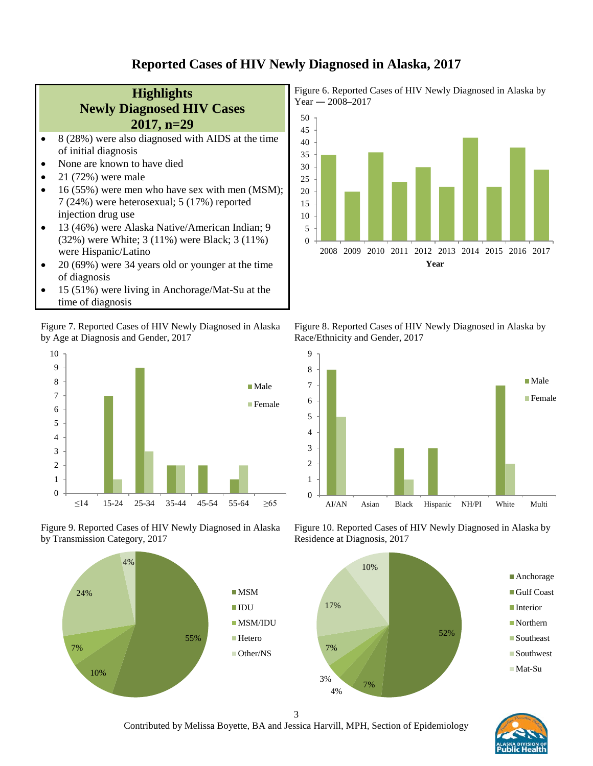#### **Reported Cases of HIV Newly Diagnosed in Alaska, 2017**



Figure 7. Reported Cases of HIV Newly Diagnosed in Alaska by Age at Diagnosis and Gender, 2017



Figure 9. Reported Cases of HIV Newly Diagnosed in Alaska by Transmission Category, 2017



Figure 6. Reported Cases of HIV Newly Diagnosed in Alaska by Year *―* 2008–2017



Figure 8. Reported Cases of HIV Newly Diagnosed in Alaska by Race/Ethnicity and Gender, 2017



Figure 10. Reported Cases of HIV Newly Diagnosed in Alaska by Residence at Diagnosis, 2017





3 Contributed by Melissa Boyette, BA and Jessica Harvill, MPH, Section of Epidemiology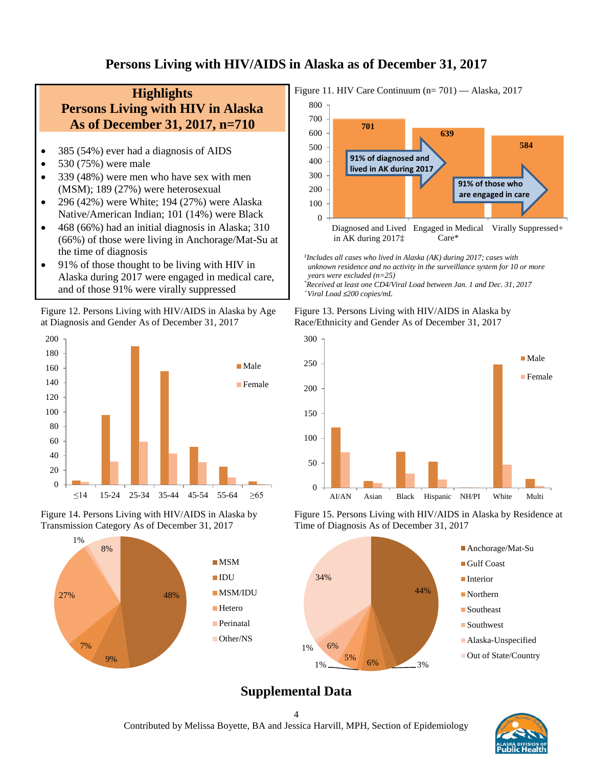# **Persons Living with HIV/AIDS in Alaska as of December 31, 2017**

# **Highlights Persons Living with HIV in Alaska As of December 31, 2017, n=710**

- 385 (54%) ever had a diagnosis of AIDS
- 530 (75%) were male
- 339 (48%) were men who have sex with men (MSM); 189 (27%) were heterosexual
- 296 (42%) were White; 194 (27%) were Alaska Native/American Indian; 101 (14%) were Black
- 468 (66%) had an initial diagnosis in Alaska; 310 (66%) of those were living in Anchorage/Mat-Su at the time of diagnosis
- 91% of those thought to be living with HIV in Alaska during 2017 were engaged in medical care, and of those 91% were virally suppressed

Figure 12. Persons Living with HIV/AIDS in Alaska by Age at Diagnosis and Gender As of December 31, 2017









 *‡ Includes all cases who lived in Alaska (AK) during 2017; cases with unknown residence and no activity in the surveillance system for 10 or more years were excluded (n=25) \* Received at least one CD4/Viral Load between Jan. 1 and Dec. 31, 2017*

 *+Viral Load ≤200 copies/mL*





Figure 15. Persons Living with HIV/AIDS in Alaska by Residence at Time of Diagnosis As of December 31, 2017



# **Supplemental Data**



4 Contributed by Melissa Boyette, BA and Jessica Harvill, MPH, Section of Epidemiology